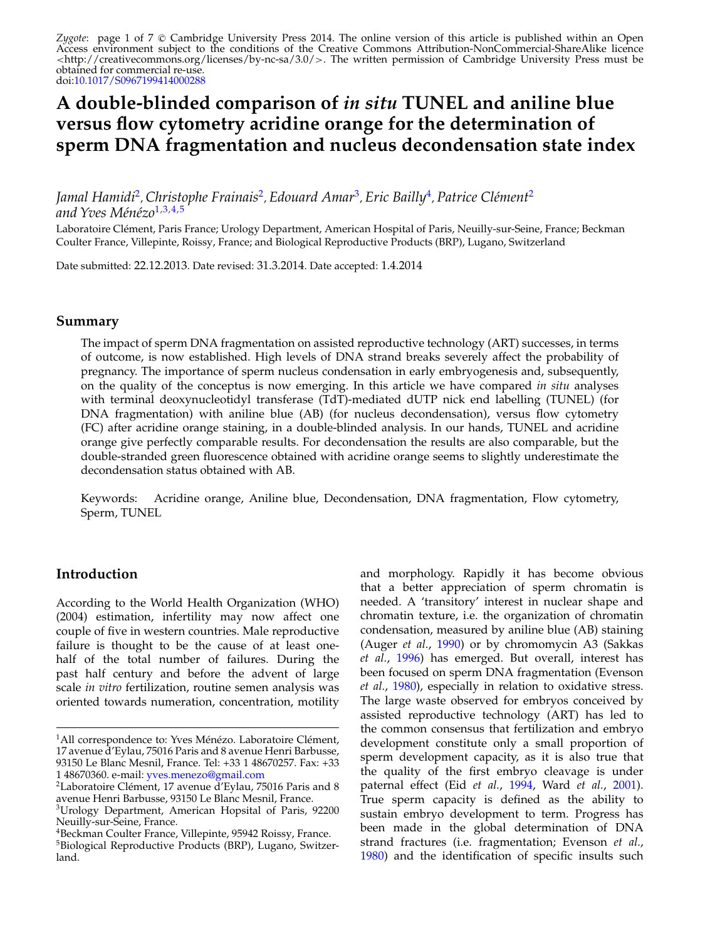Z*ygote*: page 1 of 7 © Cambridge University Press 2014. The online version of this article is published within an Open Access environment subject to the conditions of the Creative Commons Attribution-NonCommercial-ShareAlike licence <http://creativecommons.org/licenses/by-nc-sa/3.0/>. The written permission of Cambridge University Press must be obtained for commercial re-use. doi[:10.1017/S0967199414000288](http://dx.doi.org/10.1017/S0967199414000288)

# **A double-blinded comparison of** *in situ* **TUNEL and aniline blue versus flow cytometry acridine orange for the determination of sperm DNA fragmentation and nucleus decondensation state index**

*Jamal Hamidi*2, *Christophe Frainais*2, *Edouard Amar*3, *Eric Bailly*4, *Patrice Clément*<sup>2</sup> *and Yves Ménézo*<sup>1</sup>*,*3*,*4*,*<sup>5</sup>

Laboratoire Clément, Paris France; Urology Department, American Hospital of Paris, Neuilly-sur-Seine, France; Beckman Coulter France, Villepinte, Roissy, France; and Biological Reproductive Products (BRP), Lugano, Switzerland

Date submitted: 22.12.2013. Date revised: 31.3.2014. Date accepted: 1.4.2014

#### **Summary**

The impact of sperm DNA fragmentation on assisted reproductive technology (ART) successes, in terms of outcome, is now established. High levels of DNA strand breaks severely affect the probability of pregnancy. The importance of sperm nucleus condensation in early embryogenesis and, subsequently, on the quality of the conceptus is now emerging. In this article we have compared *in situ* analyses with terminal deoxynucleotidyl transferase (TdT)-mediated dUTP nick end labelling (TUNEL) (for DNA fragmentation) with aniline blue (AB) (for nucleus decondensation), versus flow cytometry (FC) after acridine orange staining, in a double-blinded analysis. In our hands, TUNEL and acridine orange give perfectly comparable results. For decondensation the results are also comparable, but the double-stranded green fluorescence obtained with acridine orange seems to slightly underestimate the decondensation status obtained with AB.

Keywords: Acridine orange, Aniline blue, Decondensation, DNA fragmentation, Flow cytometry, Sperm, TUNEL

## **Introduction**

According to the World Health Organization (WHO) (2004) estimation, infertility may now affect one couple of five in western countries. Male reproductive failure is thought to be the cause of at least onehalf of the total number of failures. During the past half century and before the advent of large scale *in vitro* fertilization, routine semen analysis was oriented towards numeration, concentration, motility and morphology. Rapidly it has become obvious that a better appreciation of sperm chromatin is needed. A 'transitory' interest in nuclear shape and chromatin texture, i.e. the organization of chromatin condensation, measured by aniline blue (AB) staining (Auger *et al.*, [1990\)](#page-5-0) or by chromomycin A3 (Sakkas *et al.*, [1996\)](#page-6-0) has emerged. But overall, interest has been focused on sperm DNA fragmentation (Evenson *et al.*, [1980\)](#page-5-0), especially in relation to oxidative stress. The large waste observed for embryos conceived by assisted reproductive technology (ART) has led to the common consensus that fertilization and embryo development constitute only a small proportion of sperm development capacity, as it is also true that the quality of the first embryo cleavage is under paternal effect (Eid *et al.*, [1994,](#page-5-0) Ward *et al.*, [2001\)](#page-6-0). True sperm capacity is defined as the ability to sustain embryo development to term. Progress has been made in the global determination of DNA strand fractures (i.e. fragmentation; Evenson *et al.*, [1980\)](#page-5-0) and the identification of specific insults such

<sup>&</sup>lt;sup>1</sup>All correspondence to: Yves Ménézo. Laboratoire Clément, 17 avenue d'Eylau, 75016 Paris and 8 avenue Henri Barbusse, 93150 Le Blanc Mesnil, France. Tel: +33 1 48670257. Fax: +33 1 48670360. e-mail: [yves.menezo@gmail.com](mailto:yves.menezo@gmail.com)<br><sup>2</sup>Laboratoire Clément, 17 avenue d'Eylau, 75016 Paris and 8

avenue Henri Barbusse, 93150 Le Blanc Mesnil, France.

<sup>3</sup>Urology Department, American Hopsital of Paris, 92200 Neuilly-sur-Seine, France.

<sup>4</sup>Beckman Coulter France, Villepinte, 95942 Roissy, France.

<sup>5</sup>Biological Reproductive Products (BRP), Lugano, Switzerland.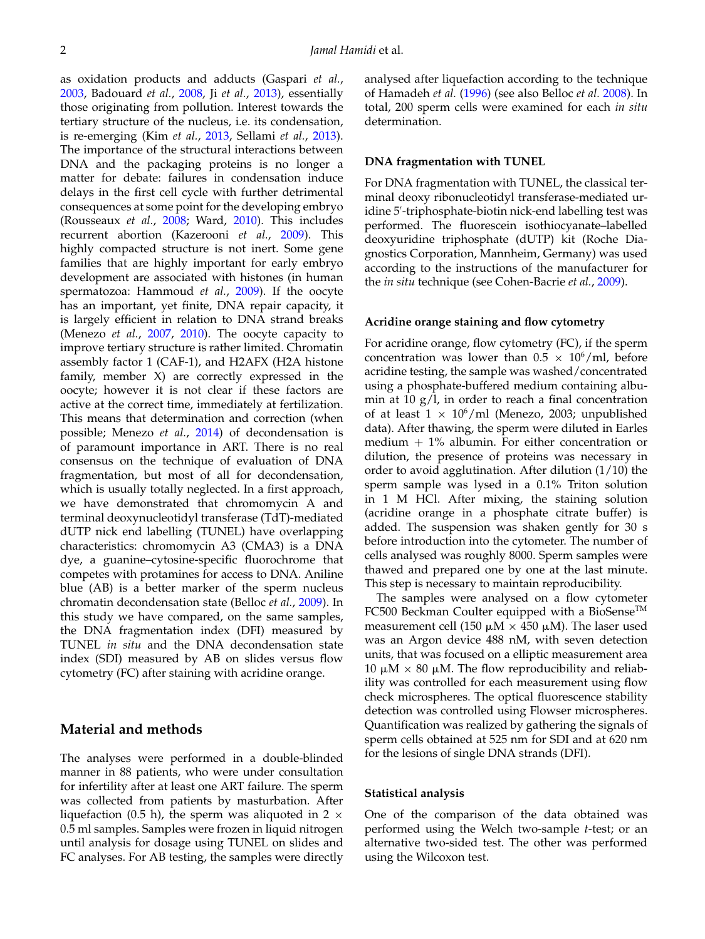as oxidation products and adducts (Gaspari *et al.*, [2003,](#page-5-0) Badouard *et al.*, [2008,](#page-5-0) Ji *et al.*, [2013\)](#page-5-0), essentially those originating from pollution. Interest towards the tertiary structure of the nucleus, i.e. its condensation, is re-emerging (Kim *et al.*, [2013,](#page-6-0) Sellami *et al.*, [2013\)](#page-6-0). The importance of the structural interactions between DNA and the packaging proteins is no longer a matter for debate: failures in condensation induce delays in the first cell cycle with further detrimental consequences at some point for the developing embryo (Rousseaux *et al.*, [2008;](#page-6-0) Ward, [2010\)](#page-6-0). This includes recurrent abortion (Kazerooni *et al.*, [2009\)](#page-6-0). This highly compacted structure is not inert. Some gene families that are highly important for early embryo development are associated with histones (in human spermatozoa: Hammoud *et al.*, [2009\)](#page-5-0). If the oocyte has an important, yet finite, DNA repair capacity, it is largely efficient in relation to DNA strand breaks (Menezo *et al.*, [2007,](#page-6-0) [2010\)](#page-6-0). The oocyte capacity to improve tertiary structure is rather limited. Chromatin assembly factor 1 (CAF-1), and H2AFX (H2A histone family, member X) are correctly expressed in the oocyte; however it is not clear if these factors are active at the correct time, immediately at fertilization. This means that determination and correction (when possible; Menezo *et al.*, [2014\)](#page-6-0) of decondensation is of paramount importance in ART. There is no real consensus on the technique of evaluation of DNA fragmentation, but most of all for decondensation, which is usually totally neglected. In a first approach, we have demonstrated that chromomycin A and terminal deoxynucleotidyl transferase (TdT)-mediated dUTP nick end labelling (TUNEL) have overlapping characteristics: chromomycin A3 (CMA3) is a DNA dye, a guanine–cytosine-specific fluorochrome that competes with protamines for access to DNA. Aniline blue (AB) is a better marker of the sperm nucleus chromatin decondensation state (Belloc *et al.*, [2009\)](#page-5-0). In this study we have compared, on the same samples, the DNA fragmentation index (DFI) measured by TUNEL *in situ* and the DNA decondensation state index (SDI) measured by AB on slides versus flow cytometry (FC) after staining with acridine orange.

### **Material and methods**

The analyses were performed in a double-blinded manner in 88 patients, who were under consultation for infertility after at least one ART failure. The sperm was collected from patients by masturbation. After liquefaction (0.5 h), the sperm was aliquoted in 2  $\times$ 0.5 ml samples. Samples were frozen in liquid nitrogen until analysis for dosage using TUNEL on slides and FC analyses. For AB testing, the samples were directly analysed after liquefaction according to the technique of Hamadeh *et al.* [\(1996\)](#page-5-0) (see also Belloc *et al.* [2008\)](#page-5-0). In total, 200 sperm cells were examined for each *in situ* determination.

#### **DNA fragmentation with TUNEL**

For DNA fragmentation with TUNEL, the classical terminal deoxy ribonucleotidyl transferase-mediated uridine 5 -triphosphate-biotin nick-end labelling test was performed. The fluorescein isothiocyanate–labelled deoxyuridine triphosphate (dUTP) kit (Roche Diagnostics Corporation, Mannheim, Germany) was used according to the instructions of the manufacturer for the *in situ* technique (see Cohen-Bacrie *et al.*, [2009\)](#page-5-0).

#### **Acridine orange staining and flow cytometry**

For acridine orange, flow cytometry (FC), if the sperm concentration was lower than  $0.5 \times 10^6$ /ml, before acridine testing, the sample was washed/concentrated using a phosphate-buffered medium containing albumin at  $10 \text{ g/l}$ , in order to reach a final concentration of at least  $1 \times 10^6$ /ml (Menezo, 2003; unpublished data). After thawing, the sperm were diluted in Earles medium + 1% albumin. For either concentration or dilution, the presence of proteins was necessary in order to avoid agglutination. After dilution (1/10) the sperm sample was lysed in a 0.1% Triton solution in 1 M HCl. After mixing, the staining solution (acridine orange in a phosphate citrate buffer) is added. The suspension was shaken gently for 30 s before introduction into the cytometer. The number of cells analysed was roughly 8000. Sperm samples were thawed and prepared one by one at the last minute. This step is necessary to maintain reproducibility.

The samples were analysed on a flow cytometer FC500 Beckman Coulter equipped with a BioSense<sup>™</sup> measurement cell (150  $\mu$ M  $\times$  450  $\mu$ M). The laser used was an Argon device 488 nM, with seven detection units, that was focused on a elliptic measurement area 10 μM  $\times$  80 μM. The flow reproducibility and reliability was controlled for each measurement using flow check microspheres. The optical fluorescence stability detection was controlled using Flowser microspheres. Quantification was realized by gathering the signals of sperm cells obtained at 525 nm for SDI and at 620 nm for the lesions of single DNA strands (DFI).

#### **Statistical analysis**

One of the comparison of the data obtained was performed using the Welch two-sample *t*-test; or an alternative two-sided test. The other was performed using the Wilcoxon test.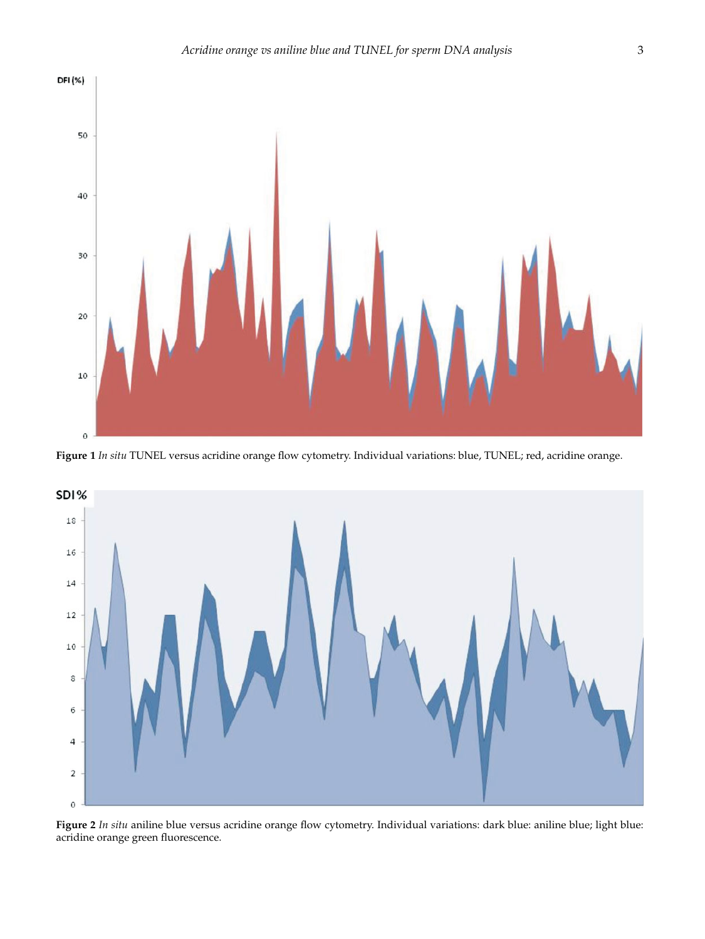<span id="page-2-0"></span>

**Figure 1** *In situ* TUNEL versus acridine orange flow cytometry. Individual variations: blue, TUNEL; red, acridine orange.



**Figure 2** *In situ* aniline blue versus acridine orange flow cytometry. Individual variations: dark blue: aniline blue; light blue: acridine orange green fluorescence.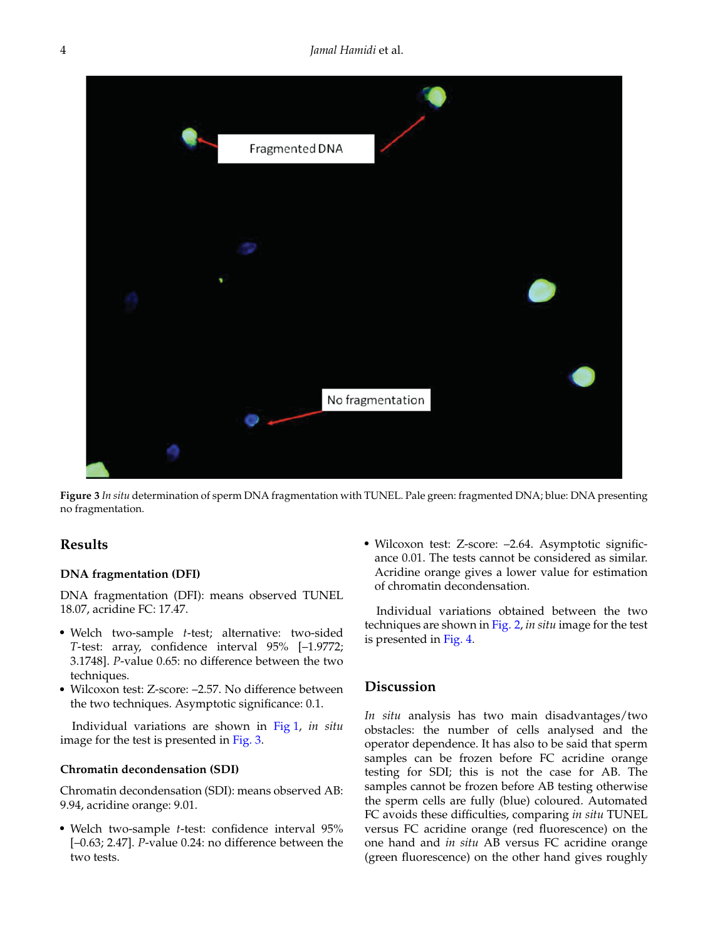

**Figure 3** *In situ* determination of sperm DNA fragmentation with TUNEL. Pale green: fragmented DNA; blue: DNA presenting no fragmentation.

#### **Results**

#### **DNA fragmentation (DFI)**

DNA fragmentation (DFI): means observed TUNEL 18.07, acridine FC: 17.47.

- Welch two-sample *t*-test; alternative: two-sided *T*-test: array, confidence interval 95% [–1.9772; 3.1748]. *P*-value 0.65: no difference between the two techniques.
- Wilcoxon test: Z-score: –2.57. No difference between the two techniques. Asymptotic significance: 0.1.

Individual variations are shown in [Fig 1,](#page-2-0) *in situ* image for the test is presented in Fig. 3.

#### **Chromatin decondensation (SDI)**

Chromatin decondensation (SDI): means observed AB: 9.94, acridine orange: 9.01.

- Welch two-sample *t*-test: confidence interval 95% [–0.63; 2.47]. *P*-value 0.24: no difference between the two tests.

- Wilcoxon test: Z-score: –2.64. Asymptotic significance 0.01. The tests cannot be considered as similar. Acridine orange gives a lower value for estimation of chromatin decondensation.

Individual variations obtained between the two techniques are shown in [Fig. 2,](#page-2-0) *in situ* image for the test is presented in [Fig. 4.](#page-4-0)

## **Discussion**

*In situ* analysis has two main disadvantages/two obstacles: the number of cells analysed and the operator dependence. It has also to be said that sperm samples can be frozen before FC acridine orange testing for SDI; this is not the case for AB. The samples cannot be frozen before AB testing otherwise the sperm cells are fully (blue) coloured. Automated FC avoids these difficulties, comparing *in situ* TUNEL versus FC acridine orange (red fluorescence) on the one hand and *in situ* AB versus FC acridine orange (green fluorescence) on the other hand gives roughly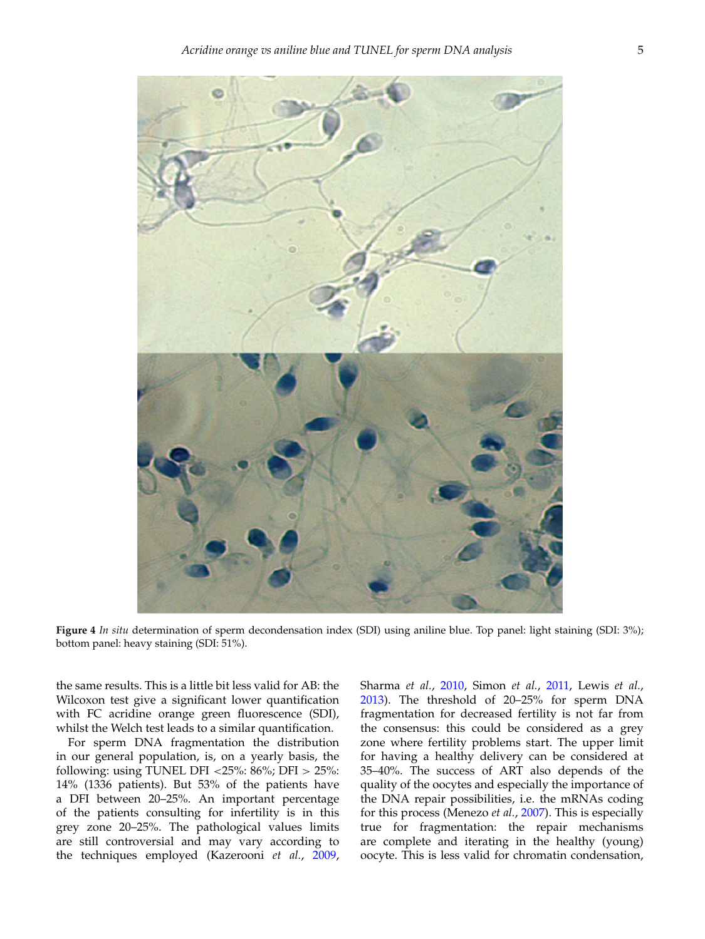<span id="page-4-0"></span>

**Figure 4** *In situ* determination of sperm decondensation index (SDI) using aniline blue. Top panel: light staining (SDI: 3%); bottom panel: heavy staining (SDI: 51%).

the same results. This is a little bit less valid for AB: the Wilcoxon test give a significant lower quantification with FC acridine orange green fluorescence (SDI), whilst the Welch test leads to a similar quantification.

For sperm DNA fragmentation the distribution in our general population, is, on a yearly basis, the following: using TUNEL DFI <25%:  $86\%$ ; DFI >  $25\%$ : 14% (1336 patients). But 53% of the patients have a DFI between 20–25%. An important percentage of the patients consulting for infertility is in this grey zone 20–25%. The pathological values limits are still controversial and may vary according to the techniques employed (Kazerooni *et al.*, [2009,](#page-6-0) Sharma *et al.*, [2010,](#page-6-0) Simon *et al.*, [2011,](#page-6-0) Lewis *et al.*, [2013\)](#page-6-0). The threshold of 20–25% for sperm DNA fragmentation for decreased fertility is not far from the consensus: this could be considered as a grey zone where fertility problems start. The upper limit for having a healthy delivery can be considered at 35–40%. The success of ART also depends of the quality of the oocytes and especially the importance of the DNA repair possibilities, i.e. the mRNAs coding for this process (Menezo *et al.*, [2007\)](#page-6-0). This is especially true for fragmentation: the repair mechanisms are complete and iterating in the healthy (young) oocyte. This is less valid for chromatin condensation,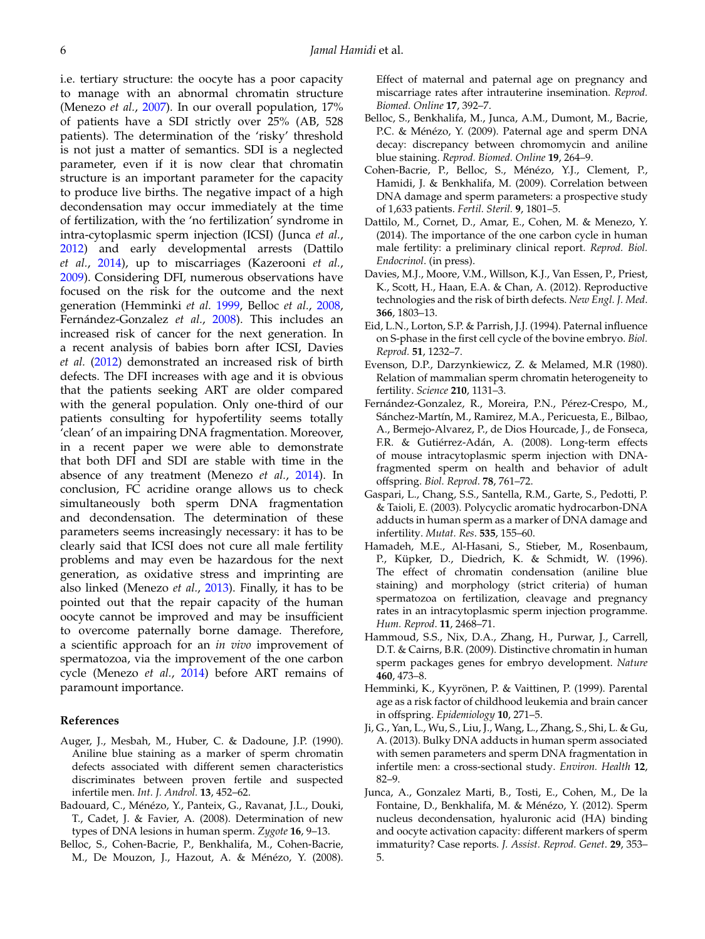<span id="page-5-0"></span>i.e. tertiary structure: the oocyte has a poor capacity to manage with an abnormal chromatin structure (Menezo *et al.*, [2007\)](#page-6-0). In our overall population, 17% of patients have a SDI strictly over 25% (AB, 528 patients). The determination of the 'risky' threshold is not just a matter of semantics. SDI is a neglected parameter, even if it is now clear that chromatin structure is an important parameter for the capacity to produce live births. The negative impact of a high decondensation may occur immediately at the time of fertilization, with the 'no fertilization' syndrome in intra-cytoplasmic sperm injection (ICSI) (Junca *et al.*, 2012) and early developmental arrests (Dattilo *et al.*, 2014), up to miscarriages (Kazerooni *et al.*, [2009\)](#page-6-0). Considering DFI, numerous observations have focused on the risk for the outcome and the next generation (Hemminki *et al.* 1999, Belloc *et al.*, 2008, Fernández-Gonzalez *et al.*, 2008). This includes an increased risk of cancer for the next generation. In a recent analysis of babies born after ICSI, Davies *et al.* (2012) demonstrated an increased risk of birth defects. The DFI increases with age and it is obvious that the patients seeking ART are older compared with the general population. Only one-third of our patients consulting for hypofertility seems totally 'clean' of an impairing DNA fragmentation. Moreover, in a recent paper we were able to demonstrate that both DFI and SDI are stable with time in the absence of any treatment (Menezo *et al.*, [2014\)](#page-6-0). In conclusion, FC acridine orange allows us to check simultaneously both sperm DNA fragmentation and decondensation. The determination of these parameters seems increasingly necessary: it has to be clearly said that ICSI does not cure all male fertility problems and may even be hazardous for the next generation, as oxidative stress and imprinting are also linked (Menezo *et al.*, [2013\)](#page-6-0). Finally, it has to be pointed out that the repair capacity of the human oocyte cannot be improved and may be insufficient to overcome paternally borne damage. Therefore, a scientific approach for an *in vivo* improvement of spermatozoa, via the improvement of the one carbon cycle (Menezo *et al.*, [2014\)](#page-6-0) before ART remains of paramount importance.

#### **References**

- Auger, J., Mesbah, M., Huber, C. & Dadoune, J.P. (1990). Aniline blue staining as a marker of sperm chromatin defects associated with different semen characteristics discriminates between proven fertile and suspected infertile men. *Int. J. Androl.* **13**, 452–62.
- Badouard, C., Ménézo, Y., Panteix, G., Ravanat, J.L., Douki, T., Cadet, J. & Favier, A. (2008). Determination of new types of DNA lesions in human sperm. *Zygote* **16**, 9–13.
- Belloc, S., Cohen-Bacrie, P., Benkhalifa, M., Cohen-Bacrie, M., De Mouzon, J., Hazout, A. & Ménézo, Y. (2008).

Effect of maternal and paternal age on pregnancy and miscarriage rates after intrauterine insemination. *Reprod. Biomed. Online* **17**, 392–7.

- Belloc, S., Benkhalifa, M., Junca, A.M., Dumont, M., Bacrie, P.C. & Ménézo, Y. (2009). Paternal age and sperm DNA decay: discrepancy between chromomycin and aniline blue staining. *Reprod. Biomed. Online* **19**, 264–9.
- Cohen-Bacrie, P., Belloc, S., Ménézo, Y.J., Clement, P., Hamidi, J. & Benkhalifa, M. (2009). Correlation between DNA damage and sperm parameters: a prospective study of 1,633 patients. *Fertil. Steril.* **9**, 1801–5.
- Dattilo, M., Cornet, D., Amar, E., Cohen, M. & Menezo, Y. (2014). The importance of the one carbon cycle in human male fertility: a preliminary clinical report. *Reprod. Biol. Endocrinol*. (in press).
- Davies, M.J., Moore, V.M., Willson, K.J., Van Essen, P., Priest, K., Scott, H., Haan, E.A. & Chan, A. (2012). Reproductive technologies and the risk of birth defects. *New Engl. J. Med*. **366**, 1803–13.
- Eid, L.N., Lorton, S.P. & Parrish, J.J. (1994). Paternal influence on S-phase in the first cell cycle of the bovine embryo. *Biol. Reprod.* **51**, 1232–7.
- Evenson, D.P., Darzynkiewicz, Z. & Melamed, M.R (1980). Relation of mammalian sperm chromatin heterogeneity to fertility. *Science* **210**, 1131–3.
- Fernández-Gonzalez, R., Moreira, P.N., Pérez-Crespo, M., Sánchez-Martín, M., Ramirez, M.A., Pericuesta, E., Bilbao, A., Bermejo-Alvarez, P., de Dios Hourcade, J., de Fonseca, F.R. & Gutiérrez-Adán, A. (2008). Long-term effects of mouse intracytoplasmic sperm injection with DNAfragmented sperm on health and behavior of adult offspring. *Biol. Reprod*. **78**, 761–72.
- Gaspari, L., Chang, S.S., Santella, R.M., Garte, S., Pedotti, P. & Taioli, E. (2003). Polycyclic aromatic hydrocarbon-DNA adducts in human sperm as a marker of DNA damage and infertility. *Mutat. Res*. **535**, 155–60.
- Hamadeh, M.E., Al-Hasani, S., Stieber, M., Rosenbaum, P., Küpker, D., Diedrich, K. & Schmidt, W. (1996). The effect of chromatin condensation (aniline blue staining) and morphology (strict criteria) of human spermatozoa on fertilization, cleavage and pregnancy rates in an intracytoplasmic sperm injection programme. *Hum. Reprod*. **11**, 2468–71.
- Hammoud, S.S., Nix, D.A., Zhang, H., Purwar, J., Carrell, D.T. & Cairns, B.R. (2009). Distinctive chromatin in human sperm packages genes for embryo development. *Nature* **460**, 473–8.
- Hemminki, K., Kyyrönen, P. & Vaittinen, P. (1999). Parental age as a risk factor of childhood leukemia and brain cancer in offspring. *Epidemiology* **10**, 271–5.
- Ji, G., Yan, L., Wu, S., Liu, J., Wang, L., Zhang, S., Shi, L. & Gu, A. (2013). Bulky DNA adducts in human sperm associated with semen parameters and sperm DNA fragmentation in infertile men: a cross-sectional study. *Environ. Health* **12**, 82–9.
- Junca, A., Gonzalez Marti, B., Tosti, E., Cohen, M., De la Fontaine, D., Benkhalifa, M. & Ménézo, Y. (2012). Sperm nucleus decondensation, hyaluronic acid (HA) binding and oocyte activation capacity: different markers of sperm immaturity? Case reports. *J. Assist. Reprod. Genet*. **29**, 353– 5.